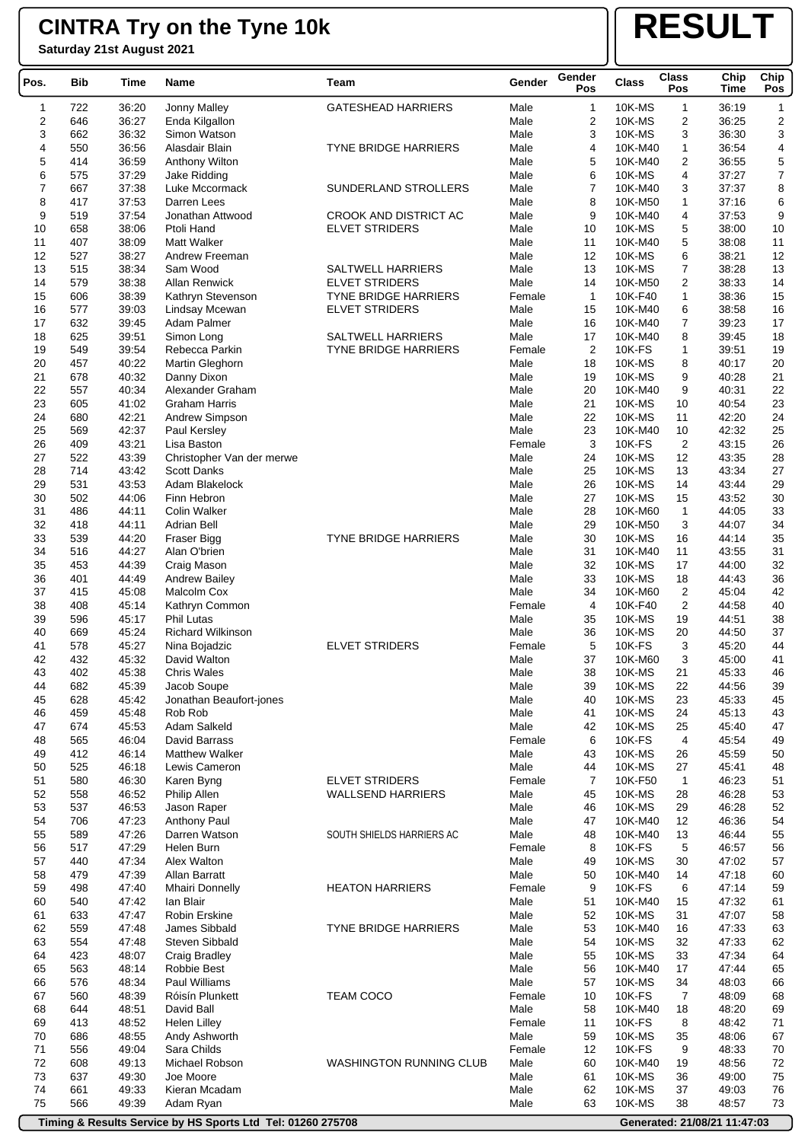**Saturday 21st August 2021**

## **RESULT**

| Pos.                    | <b>Bib</b> | Time           | Name                                | Team                           | Gender       | Gender<br>Pos  | <b>Class</b>     | <b>Class</b><br>Pos     | Chip<br>Time   | Chip<br>Pos      |
|-------------------------|------------|----------------|-------------------------------------|--------------------------------|--------------|----------------|------------------|-------------------------|----------------|------------------|
| 1                       | 722        | 36:20          | Jonny Malley                        | <b>GATESHEAD HARRIERS</b>      | Male         | 1              | 10K-MS           | $\mathbf{1}$            | 36:19          | $\mathbf{1}$     |
| $\overline{\mathbf{c}}$ | 646        | 36:27          | Enda Kilgallon                      |                                | Male         | 2              | 10K-MS           | $\overline{\mathbf{c}}$ | 36:25          | 2                |
| 3                       | 662        | 36:32          | Simon Watson                        |                                | Male         | 3              | 10K-MS           | 3                       | 36:30          | 3                |
| 4                       | 550        | 36:56          | Alasdair Blain                      | <b>TYNE BRIDGE HARRIERS</b>    | Male         | 4              | 10K-M40          | $\mathbf{1}$            | 36:54          | 4                |
| 5                       | 414        | 36:59          | Anthony Wilton                      |                                | Male         | 5              | 10K-M40          | 2                       | 36:55          | $\mathbf 5$      |
| 6                       | 575        | 37:29          | Jake Ridding                        |                                | Male         | 6              | 10K-MS           | 4                       | 37:27          | $\boldsymbol{7}$ |
| $\overline{7}$          | 667        | 37:38          | Luke Mccormack                      | SUNDERLAND STROLLERS           | Male         | $\overline{7}$ | 10K-M40          | 3                       | 37:37          | 8                |
| 8                       | 417        | 37:53          | Darren Lees                         |                                | Male         | 8              | 10K-M50          | $\mathbf{1}$            | 37:16          | 6                |
| 9                       | 519        | 37:54          | Jonathan Attwood                    | CROOK AND DISTRICT AC          | Male         | 9              | 10K-M40          | 4                       | 37:53          | 9                |
| 10                      | 658        | 38:06          | Ptoli Hand                          | <b>ELVET STRIDERS</b>          | Male         | 10             | 10K-MS           | 5                       | 38:00          | 10               |
| 11                      | 407        | 38:09          | <b>Matt Walker</b>                  |                                | Male         | 11             | 10K-M40          | 5                       | 38:08          | 11               |
| 12                      | 527        | 38:27          | Andrew Freeman                      |                                | Male         | 12             | 10K-MS           | 6                       | 38:21          | 12               |
| 13                      | 515        | 38:34          | Sam Wood                            | <b>SALTWELL HARRIERS</b>       | Male         | 13             | 10K-MS           | 7                       | 38:28          | 13               |
| 14                      | 579        | 38:38          | <b>Allan Renwick</b>                | <b>ELVET STRIDERS</b>          | Male         | 14             | 10K-M50          | 2                       | 38:33          | 14               |
| 15                      | 606        | 38:39          | Kathryn Stevenson                   | <b>TYNE BRIDGE HARRIERS</b>    | Female       | $\mathbf{1}$   | 10K-F40          | $\mathbf{1}$            | 38:36          | 15               |
| 16                      | 577        | 39:03          | Lindsay Mcewan                      | <b>ELVET STRIDERS</b>          | Male         | 15             | 10K-M40          | 6                       | 38:58          | 16               |
| 17                      | 632        | 39:45          | Adam Palmer                         |                                | Male         | 16             | 10K-M40          | 7                       | 39:23          | 17               |
| 18                      | 625        | 39.51          | Simon Long                          | <b>SALTWELL HARRIERS</b>       | Male         | 17             | 10K-M40          | 8                       | 39:45          | 18               |
| 19                      | 549        | 39:54          | Rebecca Parkin                      | TYNE BRIDGE HARRIERS           | Female       | 2              | 10K-FS           | $\mathbf{1}$            | 39:51          | 19               |
| 20                      | 457        | 40:22          | Martin Gleghorn                     |                                | Male         | 18             | 10K-MS           | 8                       | 40:17          | 20               |
| 21                      | 678        | 40:32          | Danny Dixon                         |                                | Male         | 19             | 10K-MS           | 9                       | 40:28          | 21               |
| 22                      | 557        | 40:34          | Alexander Graham                    |                                | Male         | 20             | 10K-M40          | 9                       | 40:31          | 22               |
| 23                      | 605        | 41:02          | <b>Graham Harris</b>                |                                | Male         | 21             | 10K-MS           | 10                      | 40:54          | 23               |
| 24                      | 680        | 42:21          | Andrew Simpson                      |                                | Male         | 22             | 10K-MS           | 11                      | 42:20          | 24               |
| 25                      | 569        | 42:37          | Paul Kersley                        |                                | Male         | 23             | 10K-M40          | 10                      | 42:32          | 25               |
| 26                      | 409        | 43:21          | Lisa Baston                         |                                | Female       | 3              | 10K-FS           | 2                       | 43:15          | 26               |
| 27                      | 522        | 43:39          | Christopher Van der merwe           |                                | Male         | 24             | 10K-MS           | 12                      | 43:35          | 28               |
| 28                      | 714        | 43:42          | <b>Scott Danks</b>                  |                                | Male         | 25             | 10K-MS           | 13                      | 43:34          | 27               |
| 29                      | 531        | 43:53          | Adam Blakelock                      |                                | Male         | 26             | 10K-MS           | 14                      | 43:44          | 29               |
| 30                      | 502        | 44:06          | Finn Hebron                         |                                | Male         | 27             | 10K-MS           | 15                      | 43:52          | 30               |
| 31                      | 486        | 44:11          | <b>Colin Walker</b>                 |                                | Male         | 28             | 10K-M60          | $\mathbf{1}$            | 44:05          | 33               |
| 32                      | 418        | 44:11          | <b>Adrian Bell</b>                  |                                | Male         | 29             | 10K-M50          | 3                       | 44:07          | 34               |
| 33                      | 539        | 44:20          | Fraser Bigg                         | <b>TYNE BRIDGE HARRIERS</b>    | Male         | 30             | 10K-MS           | 16                      | 44:14          | 35               |
| 34                      | 516        | 44:27          | Alan O'brien                        |                                | Male         | 31             | 10K-M40          | 11                      | 43:55          | 31               |
| 35<br>36                | 453<br>401 | 44:39<br>44:49 | Craig Mason<br><b>Andrew Bailey</b> |                                | Male<br>Male | 32<br>33       | 10K-MS<br>10K-MS | 17<br>18                | 44:00<br>44:43 | 32<br>36         |
| 37                      | 415        | 45:08          | Malcolm Cox                         |                                | Male         | 34             | 10K-M60          | $\overline{\mathbf{c}}$ | 45:04          | 42               |
| 38                      | 408        | 45:14          | Kathryn Common                      |                                | Female       | 4              | 10K-F40          | 2                       | 44:58          | 40               |
| 39                      | 596        | 45:17          | <b>Phil Lutas</b>                   |                                | Male         | 35             | 10K-MS           | 19                      | 44:51          | 38               |
| 40                      | 669        | 45:24          | <b>Richard Wilkinson</b>            |                                | Male         | 36             | 10K-MS           | 20                      | 44:50          | 37               |
| 41                      | 578        | 45:27          | Nina Bojadzic                       | <b>ELVET STRIDERS</b>          | Female       | 5              | <b>10K-FS</b>    | 3                       | 45:20          | 44               |
| 42                      | 432        | 45:32          | David Walton                        |                                | Male         | 37             | 10K-M60          | 3                       | 45:00          | 41               |
| 43                      | 402        | 45:38          | <b>Chris Wales</b>                  |                                | Male         | 38             | 10K-MS           | 21                      | 45:33          | 46               |
| 44                      | 682        | 45:39          | Jacob Soupe                         |                                | Male         | 39             | 10K-MS           | 22                      | 44:56          | 39               |
| 45                      | 628        | 45:42          | Jonathan Beaufort-jones             |                                | Male         | 40             | 10K-MS           | 23                      | 45:33          | 45               |
| 46                      | 459        | 45:48          | Rob Rob                             |                                | Male         | 41             | 10K-MS           | 24                      | 45:13          | 43               |
| 47                      | 674        | 45:53          | Adam Salkeld                        |                                | Male         | 42             | 10K-MS           | 25                      | 45:40          | 47               |
| 48                      | 565        | 46:04          | David Barrass                       |                                | Female       | 6              | <b>10K-FS</b>    | 4                       | 45:54          | 49               |
| 49                      | 412        | 46:14          | <b>Matthew Walker</b>               |                                | Male         | 43             | 10K-MS           | 26                      | 45:59          | 50               |
| 50                      | 525        | 46:18          | Lewis Cameron                       |                                | Male         | 44             | 10K-MS           | 27                      | 45:41          | 48               |
| 51                      | 580        | 46:30          | Karen Byng                          | <b>ELVET STRIDERS</b>          | Female       | $\overline{7}$ | 10K-F50          | $\mathbf{1}$            | 46:23          | 51               |
| 52                      | 558        | 46:52          | Philip Allen                        | <b>WALLSEND HARRIERS</b>       | Male         | 45             | 10K-MS           | 28                      | 46:28          | 53               |
| 53                      | 537        | 46:53          | Jason Raper                         |                                | Male         | 46             | 10K-MS           | 29                      | 46:28          | 52               |
| 54                      | 706        | 47:23          | Anthony Paul                        |                                | Male         | 47             | 10K-M40          | 12                      | 46:36          | 54               |
| 55                      | 589        | 47:26          | Darren Watson                       | SOUTH SHIELDS HARRIERS AC      | Male         | 48             | 10K-M40          | 13                      | 46:44          | 55               |
| 56                      | 517        | 47:29          | Helen Burn                          |                                | Female       | 8              | <b>10K-FS</b>    | 5                       | 46:57          | 56               |
| 57                      | 440        | 47:34          | Alex Walton                         |                                | Male         | 49             | 10K-MS           | 30                      | 47:02          | 57               |
| 58                      | 479        | 47:39          | Allan Barratt                       |                                | Male         | 50             | 10K-M40          | 14                      | 47:18          | 60               |
| 59                      | 498        | 47:40          | Mhairi Donnelly                     | <b>HEATON HARRIERS</b>         | Female       | 9              | 10K-FS           | 6                       | 47:14          | 59               |
| 60                      | 540        | 47:42          | lan Blair                           |                                | Male         | 51             | 10K-M40          | 15                      | 47:32          | 61               |
| 61                      | 633        | 47:47          | Robin Erskine                       |                                | Male         | 52             | 10K-MS           | 31                      | 47:07          | 58               |
| 62                      | 559        | 47:48          | James Sibbald                       | <b>TYNE BRIDGE HARRIERS</b>    | Male         | 53             | 10K-M40          | 16                      | 47:33          | 63               |
| 63                      | 554        | 47:48          | <b>Steven Sibbald</b>               |                                | Male         | 54             | 10K-MS           | 32                      | 47:33          | 62               |
| 64                      | 423        | 48:07          | Craig Bradley                       |                                | Male         | 55             | 10K-MS           | 33                      | 47:34          | 64               |
| 65                      | 563        | 48:14          | Robbie Best                         |                                | Male         | 56             | 10K-M40          | 17                      | 47:44          | 65               |
| 66                      | 576        | 48:34          | Paul Williams                       |                                | Male         | 57             | 10K-MS           | 34                      | 48:03          | 66               |
| 67                      | 560        | 48:39          | Róisín Plunkett                     | <b>TEAM COCO</b>               | Female       | 10             | <b>10K-FS</b>    | 7                       | 48:09          | 68               |
| 68                      | 644        | 48:51          | David Ball                          |                                | Male         | 58             | 10K-M40          | 18                      | 48:20          | 69               |
| 69                      | 413        | 48:52          | <b>Helen Lilley</b>                 |                                | Female       | 11             | <b>10K-FS</b>    | 8                       | 48:42          | 71               |
| 70                      | 686        | 48:55          | Andy Ashworth                       |                                | Male         | 59             | 10K-MS           | 35                      | 48:06          | 67               |
| 71                      | 556        | 49:04          | Sara Childs                         |                                | Female       | 12             | 10K-FS           | 9                       | 48:33          | 70               |
| 72                      | 608        | 49:13          | Michael Robson                      | <b>WASHINGTON RUNNING CLUB</b> | Male         | 60             | 10K-M40          | 19                      | 48:56          | 72               |
| 73                      | 637        | 49:30          | Joe Moore                           |                                | Male         | 61             | 10K-MS           | 36                      | 49:00          | 75               |
| 74                      | 661        | 49:33          | Kieran Mcadam                       |                                | Male         | 62             | 10K-MS           | 37                      | 49:03          | 76               |
| 75                      | 566        | 49:39          | Adam Ryan                           |                                | Male         | 63             | 10K-MS           | 38                      | 48:57          | 73               |

**Timing & Results Service by HS Sports Ltd Tel: 01260 275708 Generated: 21/08/21 11:47:03**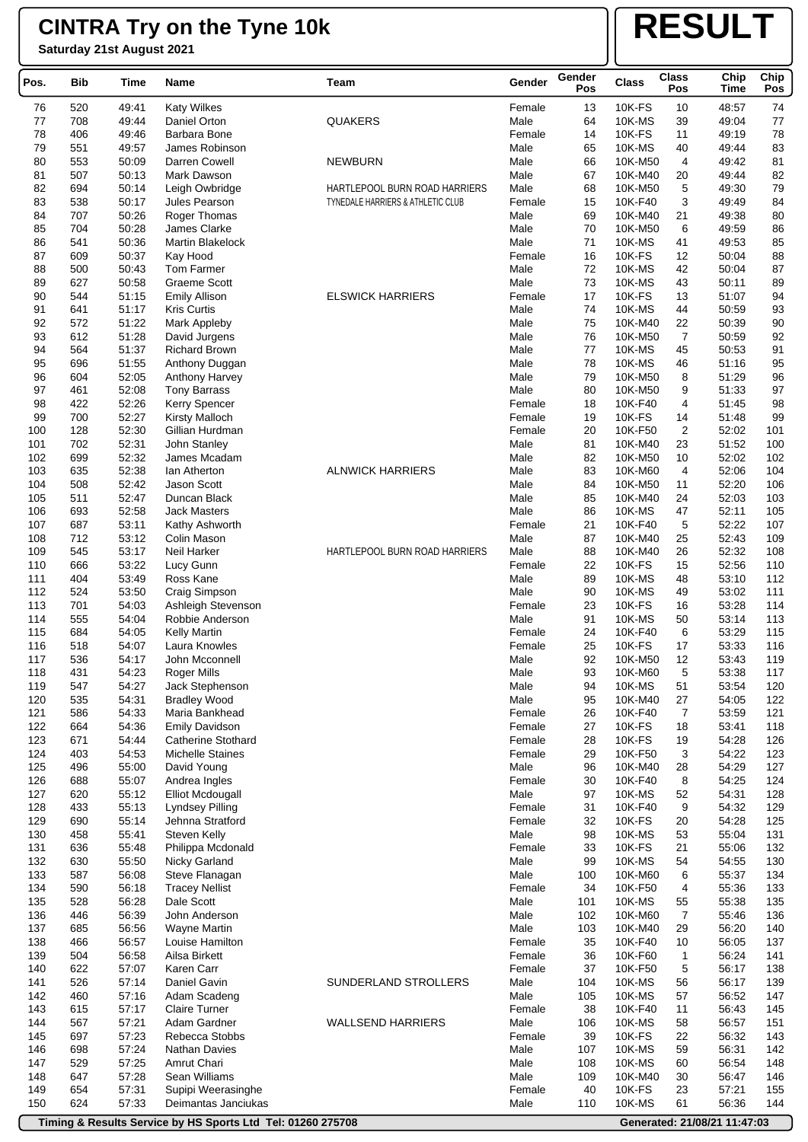**Saturday 21st August 2021**

# **RESULT**

| Pos.       | Bib        | Time           | Name                                  | Team                                                               | Gender           | Gender<br>Pos | Class                    | <b>Class</b><br>Pos | Chip<br><b>Time</b> | Chip<br>Pos |
|------------|------------|----------------|---------------------------------------|--------------------------------------------------------------------|------------------|---------------|--------------------------|---------------------|---------------------|-------------|
| 76         | 520        | 49:41          | <b>Katy Wilkes</b>                    |                                                                    | Female           | 13            | 10K-FS                   | 10                  | 48:57               | 74          |
| 77         | 708        | 49:44          | Daniel Orton                          | <b>QUAKERS</b>                                                     | Male             | 64            | 10K-MS                   | 39                  | 49:04               | 77          |
| 78         | 406        | 49:46          | Barbara Bone                          |                                                                    | Female           | 14            | 10K-FS                   | 11                  | 49:19               | 78          |
| 79         | 551        | 49:57          | James Robinson                        |                                                                    | Male             | 65            | 10K-MS                   | 40                  | 49:44               | 83          |
| 80         | 553        | 50:09          | Darren Cowell                         | <b>NEWBURN</b>                                                     | Male             | 66            | 10K-M50                  | 4                   | 49:42               | 81          |
| 81         | 507        | 50:13          | Mark Dawson                           |                                                                    | Male             | 67            | 10K-M40                  | 20                  | 49:44               | 82          |
| 82<br>83   | 694<br>538 | 50:14<br>50:17 | Leigh Owbridge<br>Jules Pearson       | HARTLEPOOL BURN ROAD HARRIERS<br>TYNEDALE HARRIERS & ATHLETIC CLUB | Male<br>Female   | 68<br>15      | 10K-M50<br>10K-F40       | 5<br>3              | 49:30<br>49:49      | 79<br>84    |
| 84         | 707        | 50:26          | Roger Thomas                          |                                                                    | Male             | 69            | 10K-M40                  | 21                  | 49:38               | 80          |
| 85         | 704        | 50:28          | James Clarke                          |                                                                    | Male             | 70            | 10K-M50                  | 6                   | 49:59               | 86          |
| 86         | 541        | 50:36          | <b>Martin Blakelock</b>               |                                                                    | Male             | 71            | 10K-MS                   | 41                  | 49:53               | 85          |
| 87         | 609        | 50:37          | Kay Hood                              |                                                                    | Female           | 16            | 10K-FS                   | 12                  | 50:04               | 88          |
| 88         | 500        | 50:43          | <b>Tom Farmer</b>                     |                                                                    | Male             | 72            | 10K-MS                   | 42                  | 50:04               | 87          |
| 89         | 627        | 50:58          | <b>Graeme Scott</b>                   |                                                                    | Male             | 73            | 10K-MS                   | 43                  | 50:11               | 89          |
| 90         | 544        | 51:15          | <b>Emily Allison</b>                  | <b>ELSWICK HARRIERS</b>                                            | Female           | 17            | <b>10K-FS</b>            | 13                  | 51:07               | 94          |
| 91         | 641        | 51:17          | <b>Kris Curtis</b>                    |                                                                    | Male             | 74            | 10K-MS                   | 44                  | 50:59               | 93          |
| 92         | 572        | 51:22          | Mark Appleby                          |                                                                    | Male             | 75            | 10K-M40                  | 22                  | 50:39               | 90          |
| 93<br>94   | 612<br>564 | 51:28<br>51:37 | David Jurgens<br><b>Richard Brown</b> |                                                                    | Male<br>Male     | 76<br>77      | 10K-M50<br>10K-MS        | 7<br>45             | 50:59<br>50:53      | 92<br>91    |
| 95         | 696        | 51:55          | Anthony Duggan                        |                                                                    | Male             | 78            | 10K-MS                   | 46                  | 51:16               | 95          |
| 96         | 604        | 52:05          | Anthony Harvey                        |                                                                    | Male             | 79            | 10K-M50                  | 8                   | 51:29               | 96          |
| 97         | 461        | 52:08          | <b>Tony Barrass</b>                   |                                                                    | Male             | 80            | 10K-M50                  | 9                   | 51:33               | 97          |
| 98         | 422        | 52:26          | Kerry Spencer                         |                                                                    | Female           | 18            | 10K-F40                  | 4                   | 51:45               | 98          |
| 99         | 700        | 52:27          | <b>Kirsty Malloch</b>                 |                                                                    | Female           | 19            | <b>10K-FS</b>            | 14                  | 51:48               | 99          |
| 100        | 128        | 52:30          | Gillian Hurdman                       |                                                                    | Female           | 20            | 10K-F50                  | $\overline{2}$      | 52:02               | 101         |
| 101        | 702        | 52:31          | John Stanley                          |                                                                    | Male             | 81            | 10K-M40                  | 23                  | 51:52               | 100         |
| 102        | 699        | 52:32          | James Mcadam                          |                                                                    | Male             | 82            | 10K-M50                  | 10                  | 52:02               | 102         |
| 103        | 635        | 52:38          | lan Atherton                          | <b>ALNWICK HARRIERS</b>                                            | Male             | 83            | 10K-M60                  | 4                   | 52:06               | 104         |
| 104        | 508        | 52:42          | <b>Jason Scott</b>                    |                                                                    | Male             | 84            | 10K-M50                  | 11                  | 52:20               | 106         |
| 105        | 511        | 52:47          | Duncan Black<br><b>Jack Masters</b>   |                                                                    | Male             | 85            | 10K-M40<br>10K-MS        | 24                  | 52:03<br>52:11      | 103<br>105  |
| 106<br>107 | 693<br>687 | 52:58<br>53:11 | Kathy Ashworth                        |                                                                    | Male<br>Female   | 86<br>21      | 10K-F40                  | 47<br>5             | 52:22               | 107         |
| 108        | 712        | 53:12          | Colin Mason                           |                                                                    | Male             | 87            | 10K-M40                  | 25                  | 52:43               | 109         |
| 109        | 545        | 53:17          | Neil Harker                           | HARTLEPOOL BURN ROAD HARRIERS                                      | Male             | 88            | 10K-M40                  | 26                  | 52:32               | 108         |
| 110        | 666        | 53:22          | Lucy Gunn                             |                                                                    | Female           | 22            | 10K-FS                   | 15                  | 52:56               | 110         |
| 111        | 404        | 53:49          | Ross Kane                             |                                                                    | Male             | 89            | 10K-MS                   | 48                  | 53:10               | 112         |
| 112        | 524        | 53:50          | Craig Simpson                         |                                                                    | Male             | 90            | 10K-MS                   | 49                  | 53:02               | 111         |
| 113        | 701        | 54:03          | Ashleigh Stevenson                    |                                                                    | Female           | 23            | 10K-FS                   | 16                  | 53:28               | 114         |
| 114        | 555        | 54:04          | Robbie Anderson                       |                                                                    | Male             | 91            | 10K-MS                   | 50                  | 53:14               | 113         |
| 115        | 684        | 54:05          | <b>Kelly Martin</b>                   |                                                                    | Female           | 24            | 10K-F40                  | 6                   | 53:29               | 115         |
| 116        | 518        | 54:07          | Laura Knowles                         |                                                                    | Female           | 25            | <b>10K-FS</b>            | 17                  | 53:33               | 116         |
| 117<br>118 | 536<br>431 | 54:17<br>54:23 | John Mcconnell<br>Roger Mills         |                                                                    | Male<br>Male     | 92<br>93      | 10K-M50<br>10K-M60       | 12<br>5             | 53:43<br>53:38      | 119<br>117  |
| 119        | 547        | 54:27          | Jack Stephenson                       |                                                                    | Male             | 94            | <b>10K-MS</b>            | 51                  | 53:54               | 120         |
| 120        | 535        | 54:31          | <b>Bradley Wood</b>                   |                                                                    | Male             | 95            | 10K-M40                  | 27                  | 54:05               | 122         |
| 121        | 586        | 54:33          | Maria Bankhead                        |                                                                    | Female           | 26            | 10K-F40                  | 7                   | 53:59               | 121         |
| 122        | 664        | 54:36          | <b>Emily Davidson</b>                 |                                                                    | Female           | 27            | <b>10K-FS</b>            | 18                  | 53:41               | 118         |
| 123        | 671        | 54:44          | <b>Catherine Stothard</b>             |                                                                    | Female           | 28            | <b>10K-FS</b>            | 19                  | 54:28               | 126         |
| 124        | 403        | 54:53          | <b>Michelle Staines</b>               |                                                                    | Female           | 29            | 10K-F50                  | 3                   | 54:22               | 123         |
| 125        | 496        | 55:00          | David Young                           |                                                                    | Male             | 96            | 10K-M40                  | 28                  | 54:29               | 127         |
| 126        | 688        | 55:07          | Andrea Ingles                         |                                                                    | Female           | 30            | 10K-F40                  | 8                   | 54:25               | 124         |
| 127        | 620        | 55:12          | <b>Elliot Mcdougall</b>               |                                                                    | Male             | 97            | 10K-MS                   | 52                  | 54:31               | 128         |
| 128<br>129 | 433<br>690 | 55:13<br>55:14 | Lyndsey Pilling<br>Jehnna Stratford   |                                                                    | Female<br>Female | 31<br>32      | 10K-F40<br><b>10K-FS</b> | 9<br>20             | 54:32<br>54:28      | 129<br>125  |
| 130        | 458        | 55:41          | Steven Kelly                          |                                                                    | Male             | 98            | 10K-MS                   | 53                  | 55:04               | 131         |
| 131        | 636        | 55:48          | Philippa Mcdonald                     |                                                                    | Female           | 33            | 10K-FS                   | 21                  | 55:06               | 132         |
| 132        | 630        | 55:50          | Nicky Garland                         |                                                                    | Male             | 99            | 10K-MS                   | 54                  | 54:55               | 130         |
| 133        | 587        | 56:08          | Steve Flanagan                        |                                                                    | Male             | 100           | 10K-M60                  | 6                   | 55:37               | 134         |
| 134        | 590        | 56:18          | <b>Tracey Nellist</b>                 |                                                                    | Female           | 34            | 10K-F50                  | 4                   | 55:36               | 133         |
| 135        | 528        | 56:28          | Dale Scott                            |                                                                    | Male             | 101           | 10K-MS                   | 55                  | 55:38               | 135         |
| 136        | 446        | 56:39          | John Anderson                         |                                                                    | Male             | 102           | 10K-M60                  | 7                   | 55:46               | 136         |
| 137        | 685        | 56:56          | Wayne Martin                          |                                                                    | Male             | 103           | 10K-M40                  | 29                  | 56:20               | 140         |
| 138        | 466        | 56:57          | Louise Hamilton                       |                                                                    | Female           | 35            | 10K-F40                  | 10                  | 56:05               | 137         |
| 139        | 504        | 56:58          | Ailsa Birkett                         |                                                                    | Female           | 36            | 10K-F60                  | $\mathbf{1}$        | 56:24               | 141         |
| 140        | 622        | 57:07          | Karen Carr                            |                                                                    | Female           | 37            | 10K-F50                  | 5                   | 56:17               | 138         |
| 141<br>142 | 526<br>460 | 57:14<br>57:16 | Daniel Gavin<br>Adam Scadeng          | SUNDERLAND STROLLERS                                               | Male<br>Male     | 104<br>105    | 10K-MS<br>10K-MS         | 56<br>57            | 56:17<br>56:52      | 139<br>147  |
| 143        | 615        | 57:17          | <b>Claire Turner</b>                  |                                                                    | Female           | 38            | 10K-F40                  | 11                  | 56:43               | 145         |
| 144        | 567        | 57:21          | Adam Gardner                          | <b>WALLSEND HARRIERS</b>                                           | Male             | 106           | <b>10K-MS</b>            | 58                  | 56:57               | 151         |
| 145        | 697        | 57:23          | Rebecca Stobbs                        |                                                                    | Female           | 39            | 10K-FS                   | 22                  | 56:32               | 143         |
| 146        | 698        | 57:24          | Nathan Davies                         |                                                                    | Male             | 107           | 10K-MS                   | 59                  | 56:31               | 142         |
| 147        | 529        | 57:25          | Amrut Chari                           |                                                                    | Male             | 108           | 10K-MS                   | 60                  | 56:54               | 148         |
| 148        | 647        | 57:28          | Sean Williams                         |                                                                    | Male             | 109           | 10K-M40                  | 30                  | 56:47               | 146         |
| 149        | 654        | 57:31          | Supipi Weerasinghe                    |                                                                    | Female           | 40            | <b>10K-FS</b>            | 23                  | 57:21               | 155         |
| 150        | 624        | 57:33          | Deimantas Janciukas                   |                                                                    | Male             | 110           | 10K-MS                   | 61                  | 56:36               | 144         |

**Timing & Results Service by HS Sports Ltd Tel: 01260 275708 Generated: 21/08/21 11:47:03** 

ſ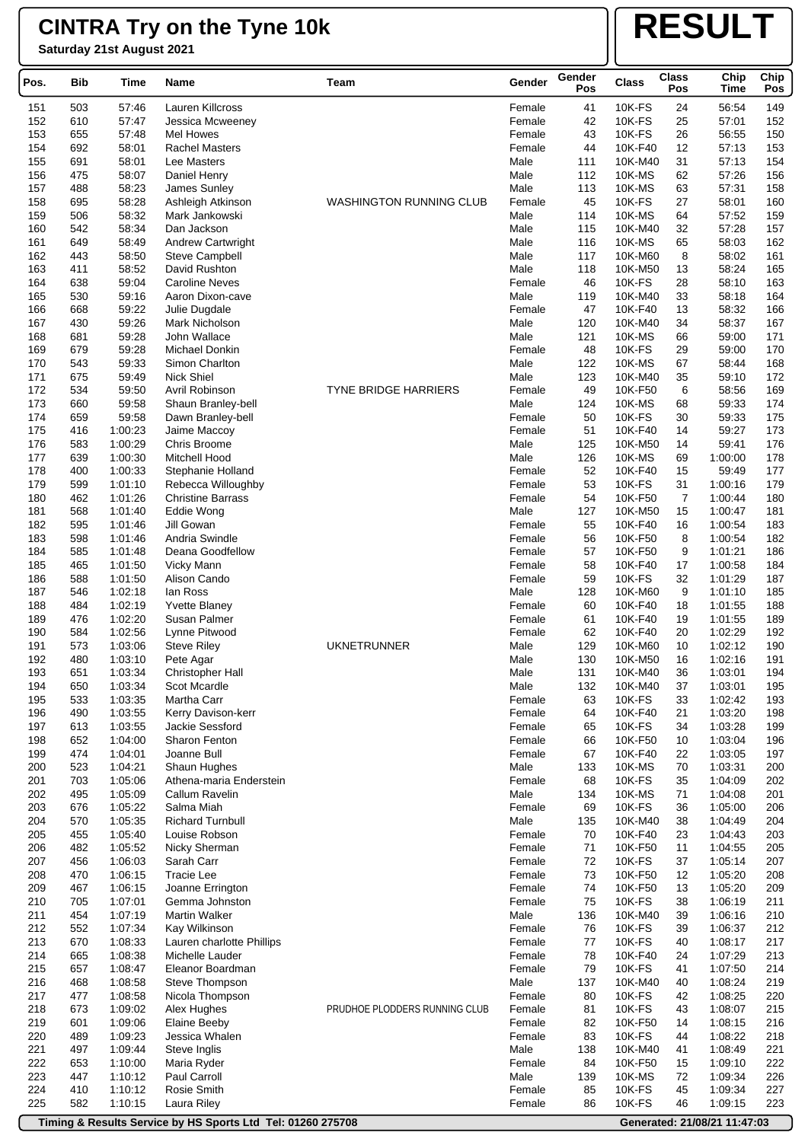**Saturday 21st August 2021**

# **RESULT**

| Pos.       | Bib        | Time               | Name                                  | Team                           | Gender           | Gender<br>Pos | <b>Class</b>             | <b>Class</b><br>Pos | Chip<br>Time       | Chip<br>Pos |
|------------|------------|--------------------|---------------------------------------|--------------------------------|------------------|---------------|--------------------------|---------------------|--------------------|-------------|
| 151        | 503        | 57:46              | Lauren Killcross                      |                                | Female           | 41            | 10K-FS                   | 24                  | 56:54              | 149         |
| 152        | 610        | 57:47              | Jessica Mcweeney                      |                                | Female           | 42            | <b>10K-FS</b>            | 25                  | 57:01              | 152         |
| 153        | 655        | 57:48              | Mel Howes                             |                                | Female           | 43            | <b>10K-FS</b>            | 26                  | 56:55              | 150         |
| 154        | 692        | 58:01              | <b>Rachel Masters</b>                 |                                | Female           | 44            | 10K-F40                  | 12                  | 57:13              | 153         |
| 155        | 691        | 58:01              | Lee Masters                           |                                | Male             | 111           | 10K-M40                  | 31                  | 57:13              | 154         |
| 156        | 475        | 58:07              | Daniel Henry                          |                                | Male             | 112           | 10K-MS                   | 62                  | 57:26              | 156         |
| 157        | 488        | 58:23              | James Sunley                          |                                | Male             | 113           | 10K-MS                   | 63                  | 57:31              | 158         |
| 158<br>159 | 695<br>506 | 58:28<br>58:32     | Ashleigh Atkinson                     | <b>WASHINGTON RUNNING CLUB</b> | Female<br>Male   | 45<br>114     | <b>10K-FS</b><br>10K-MS  | 27<br>64            | 58:01<br>57:52     | 160<br>159  |
| 160        | 542        | 58:34              | Mark Jankowski<br>Dan Jackson         |                                | Male             | 115           | 10K-M40                  | 32                  | 57:28              | 157         |
| 161        | 649        | 58:49              | Andrew Cartwright                     |                                | Male             | 116           | 10K-MS                   | 65                  | 58:03              | 162         |
| 162        | 443        | 58:50              | <b>Steve Campbell</b>                 |                                | Male             | 117           | 10K-M60                  | 8                   | 58:02              | 161         |
| 163        | 411        | 58:52              | David Rushton                         |                                | Male             | 118           | 10K-M50                  | 13                  | 58:24              | 165         |
| 164        | 638        | 59:04              | <b>Caroline Neves</b>                 |                                | Female           | 46            | 10K-FS                   | 28                  | 58:10              | 163         |
| 165        | 530        | 59:16              | Aaron Dixon-cave                      |                                | Male             | 119           | 10K-M40                  | 33                  | 58:18              | 164         |
| 166        | 668        | 59:22              | Julie Dugdale                         |                                | Female           | 47            | 10K-F40                  | 13                  | 58:32              | 166         |
| 167        | 430        | 59:26              | Mark Nicholson                        |                                | Male             | 120           | 10K-M40                  | 34                  | 58:37              | 167         |
| 168        | 681        | 59:28              | John Wallace                          |                                | Male             | 121           | 10K-MS                   | 66                  | 59:00              | 171         |
| 169<br>170 | 679        | 59:28              | Michael Donkin                        |                                | Female           | 48            | <b>10K-FS</b><br>10K-MS  | 29                  | 59:00              | 170<br>168  |
| 171        | 543<br>675 | 59:33<br>59:49     | Simon Charlton<br><b>Nick Shiel</b>   |                                | Male<br>Male     | 122<br>123    | 10K-M40                  | 67<br>35            | 58:44<br>59:10     | 172         |
| 172        | 534        | 59:50              | Avril Robinson                        | <b>TYNE BRIDGE HARRIERS</b>    | Female           | 49            | 10K-F50                  | 6                   | 58:56              | 169         |
| 173        | 660        | 59:58              | Shaun Branley-bell                    |                                | Male             | 124           | 10K-MS                   | 68                  | 59:33              | 174         |
| 174        | 659        | 59:58              | Dawn Branley-bell                     |                                | Female           | 50            | <b>10K-FS</b>            | 30                  | 59:33              | 175         |
| 175        | 416        | 1:00:23            | Jaime Maccoy                          |                                | Female           | 51            | 10K-F40                  | 14                  | 59:27              | 173         |
| 176        | 583        | 1:00:29            | Chris Broome                          |                                | Male             | 125           | 10K-M50                  | 14                  | 59:41              | 176         |
| 177        | 639        | 1:00:30            | Mitchell Hood                         |                                | Male             | 126           | 10K-MS                   | 69                  | 1:00:00            | 178         |
| 178        | 400        | 1:00:33            | Stephanie Holland                     |                                | Female           | 52            | 10K-F40                  | 15                  | 59:49              | 177         |
| 179        | 599        | 1:01:10            | Rebecca Willoughby                    |                                | Female           | 53            | <b>10K-FS</b>            | 31                  | 1:00:16            | 179         |
| 180        | 462        | 1:01:26            | <b>Christine Barrass</b>              |                                | Female           | 54            | 10K-F50                  | 7                   | 1:00:44            | 180         |
| 181        | 568        | 1:01:40            | Eddie Wong                            |                                | Male             | 127           | 10K-M50                  | 15                  | 1:00:47            | 181         |
| 182<br>183 | 595<br>598 | 1:01:46<br>1:01:46 | Jill Gowan<br>Andria Swindle          |                                | Female<br>Female | 55<br>56      | 10K-F40<br>10K-F50       | 16<br>8             | 1:00:54<br>1:00:54 | 183<br>182  |
| 184        | 585        | 1:01:48            | Deana Goodfellow                      |                                | Female           | 57            | 10K-F50                  | 9                   | 1:01:21            | 186         |
| 185        | 465        | 1:01:50            | Vicky Mann                            |                                | Female           | 58            | 10K-F40                  | 17                  | 1:00:58            | 184         |
| 186        | 588        | 1:01:50            | Alison Cando                          |                                | Female           | 59            | 10K-FS                   | 32                  | 1:01:29            | 187         |
| 187        | 546        | 1:02:18            | lan Ross                              |                                | Male             | 128           | 10K-M60                  | 9                   | 1:01:10            | 185         |
| 188        | 484        | 1:02:19            | <b>Yvette Blaney</b>                  |                                | Female           | 60            | 10K-F40                  | 18                  | 1:01:55            | 188         |
| 189        | 476        | 1:02:20            | Susan Palmer                          |                                | Female           | 61            | 10K-F40                  | 19                  | 1:01:55            | 189         |
| 190        | 584        | 1:02:56            | Lynne Pitwood                         |                                | Female           | 62            | 10K-F40                  | 20                  | 1:02:29            | 192         |
| 191        | 573        | 1:03:06            | <b>Steve Riley</b>                    | <b>UKNETRUNNER</b>             | Male             | 129           | 10K-M60                  | 10                  | 1:02:12            | 190         |
| 192        | 480        | 1:03:10            | Pete Agar                             |                                | Male             | 130           | 10K-M50                  | 16                  | 1:02:16            | 191         |
| 193        | 651        | 1:03:34            | Christopher Hall                      |                                | Male             | 131           | 10K-M40                  | 36                  | 1:03:01            | 194         |
| 194<br>195 | 650<br>533 | 1:03:34<br>1:03:35 | Scot Mcardle<br>Martha Carr           |                                | Male<br>Female   | 132<br>63     | 10K-M40<br><b>10K-FS</b> | 37<br>33            | 1:03:01<br>1:02:42 | 195<br>193  |
| 196        | 490        | 1:03:55            | Kerry Davison-kerr                    |                                | Female           | 64            | 10K-F40                  | 21                  | 1:03:20            | 198         |
| 197        | 613        | 1:03:55            | Jackie Sessford                       |                                | Female           | 65            | 10K-FS                   | 34                  | 1:03:28            | 199         |
| 198        | 652        | 1:04:00            | Sharon Fenton                         |                                | Female           | 66            | 10K-F50                  | 10                  | 1:03:04            | 196         |
| 199        | 474        | 1:04:01            | Joanne Bull                           |                                | Female           | 67            | 10K-F40                  | 22                  | 1:03:05            | 197         |
| 200        | 523        | 1:04:21            | Shaun Hughes                          |                                | Male             | 133           | 10K-MS                   | 70                  | 1:03:31            | 200         |
| 201        | 703        | 1:05:06            | Athena-maria Enderstein               |                                | Female           | 68            | <b>10K-FS</b>            | 35                  | 1:04:09            | 202         |
| 202        | 495        | 1:05:09            | Callum Ravelin                        |                                | Male             | 134           | <b>10K-MS</b>            | 71                  | 1:04:08            | 201         |
| 203        | 676        | 1:05:22            | Salma Miah                            |                                | Female           | 69            | <b>10K-FS</b>            | 36                  | 1:05:00            | 206         |
| 204        | 570        | 1:05:35            | <b>Richard Turnbull</b>               |                                | Male             | 135           | 10K-M40                  | 38                  | 1:04:49            | 204         |
| 205        | 455        | 1:05:40            | Louise Robson                         |                                | Female           | 70            | 10K-F40                  | 23                  | 1:04:43            | 203         |
| 206<br>207 | 482        | 1:05:52            | Nicky Sherman<br>Sarah Carr           |                                | Female<br>Female | 71<br>72      | 10K-F50<br>10K-FS        | 11<br>37            | 1:04:55<br>1:05:14 | 205<br>207  |
| 208        | 456<br>470 | 1:06:03<br>1:06:15 | <b>Tracie Lee</b>                     |                                | Female           | 73            | 10K-F50                  | 12                  | 1:05:20            | 208         |
| 209        | 467        | 1:06:15            | Joanne Errington                      |                                | Female           | 74            | 10K-F50                  | 13                  | 1:05:20            | 209         |
| 210        | 705        | 1:07:01            | Gemma Johnston                        |                                | Female           | 75            | <b>10K-FS</b>            | 38                  | 1:06:19            | 211         |
| 211        | 454        | 1:07:19            | <b>Martin Walker</b>                  |                                | Male             | 136           | 10K-M40                  | 39                  | 1:06:16            | 210         |
| 212        | 552        | 1:07:34            | Kay Wilkinson                         |                                | Female           | 76            | <b>10K-FS</b>            | 39                  | 1:06:37            | 212         |
| 213        | 670        | 1:08:33            | Lauren charlotte Phillips             |                                | Female           | 77            | 10K-FS                   | 40                  | 1:08:17            | 217         |
| 214        | 665        | 1:08:38            | Michelle Lauder                       |                                | Female           | 78            | 10K-F40                  | 24                  | 1:07:29            | 213         |
| 215        | 657        | 1:08:47            | Eleanor Boardman                      |                                | Female           | 79            | <b>10K-FS</b>            | 41                  | 1:07:50            | 214         |
| 216        | 468        | 1:08:58            | Steve Thompson                        |                                | Male             | 137           | 10K-M40                  | 40                  | 1:08:24            | 219         |
| 217        | 477        | 1:08:58            | Nicola Thompson                       |                                | Female           | 80            | <b>10K-FS</b>            | 42                  | 1:08:25            | 220         |
| 218<br>219 | 673        | 1:09:02            | Alex Hughes                           | PRUDHOE PLODDERS RUNNING CLUB  | Female<br>Female | 81<br>82      | <b>10K-FS</b><br>10K-F50 | 43<br>14            | 1:08:07<br>1:08:15 | 215<br>216  |
| 220        | 601<br>489 | 1:09:06<br>1:09:23 | <b>Elaine Beeby</b><br>Jessica Whalen |                                | Female           | 83            | 10K-FS                   | 44                  | 1:08:22            | 218         |
| 221        | 497        | 1:09:44            | Steve Inglis                          |                                | Male             | 138           | 10K-M40                  | 41                  | 1:08:49            | 221         |
| 222        | 653        | 1:10:00            | Maria Ryder                           |                                | Female           | 84            | 10K-F50                  | 15                  | 1:09:10            | 222         |
| 223        | 447        | 1:10:12            | Paul Carroll                          |                                | Male             | 139           | 10K-MS                   | 72                  | 1:09:34            | 226         |
| 224        | 410        | 1:10:12            | Rosie Smith                           |                                | Female           | 85            | 10K-FS                   | 45                  | 1:09:34            | 227         |
| 225        | 582        | 1:10:15            | Laura Riley                           |                                | Female           | 86            | <b>10K-FS</b>            | 46                  | 1:09:15            | 223         |

**Timing & Results Service by HS Sports Ltd Tel: 01260 275708 Generated: 21/08/21 11:47:03**